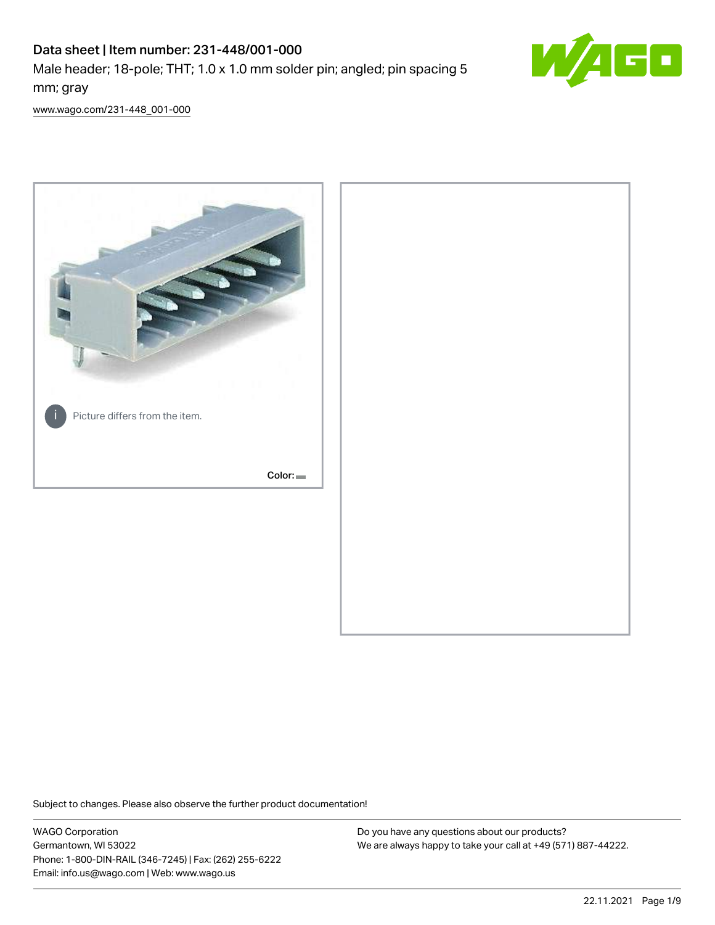# Data sheet | Item number: 231-448/001-000

Male header; 18-pole; THT; 1.0 x 1.0 mm solder pin; angled; pin spacing 5 mm; gray



[www.wago.com/231-448\\_001-000](http://www.wago.com/231-448_001-000)



Subject to changes. Please also observe the further product documentation!

WAGO Corporation Germantown, WI 53022 Phone: 1-800-DIN-RAIL (346-7245) | Fax: (262) 255-6222 Email: info.us@wago.com | Web: www.wago.us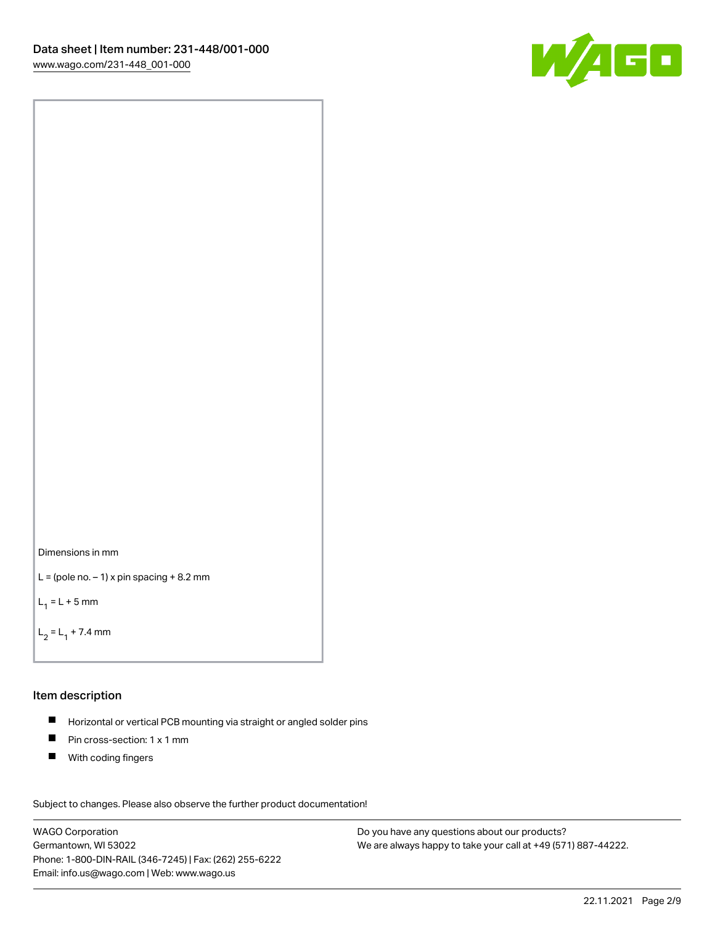



```
L = (pole no. -1) x pin spacing +8.2 mm
```
 $L_1 = L + 5$  mm

```
L_2 = L_1 + 7.4 mm
```
#### Item description

- Horizontal or vertical PCB mounting via straight or angled solder pins  $\blacksquare$
- $\blacksquare$ Pin cross-section: 1 x 1 mm
- $\blacksquare$ With coding fingers

Subject to changes. Please also observe the further product documentation! Data

WAGO Corporation Germantown, WI 53022 Phone: 1-800-DIN-RAIL (346-7245) | Fax: (262) 255-6222 Email: info.us@wago.com | Web: www.wago.us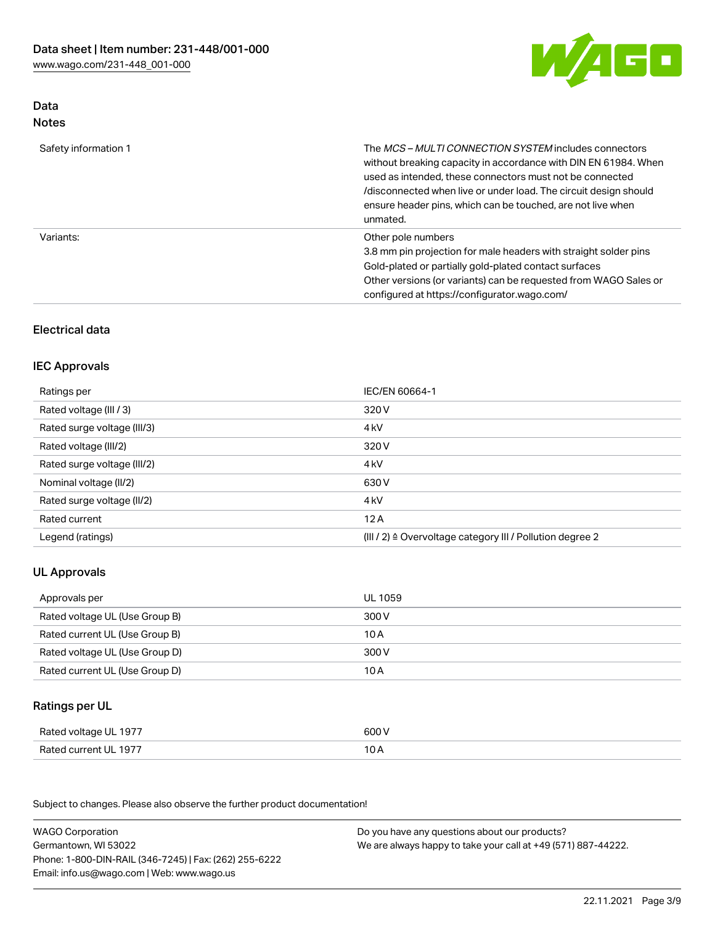

# Data Notes

| Safety information 1 | The <i>MCS – MULTI CONNECTION SYSTEM</i> includes connectors<br>without breaking capacity in accordance with DIN EN 61984. When<br>used as intended, these connectors must not be connected<br>/disconnected when live or under load. The circuit design should<br>ensure header pins, which can be touched, are not live when<br>unmated. |
|----------------------|--------------------------------------------------------------------------------------------------------------------------------------------------------------------------------------------------------------------------------------------------------------------------------------------------------------------------------------------|
| Variants:            | Other pole numbers<br>3.8 mm pin projection for male headers with straight solder pins<br>Gold-plated or partially gold-plated contact surfaces<br>Other versions (or variants) can be requested from WAGO Sales or<br>configured at https://configurator.wago.com/                                                                        |

# Electrical data

# IEC Approvals

| Ratings per                 | IEC/EN 60664-1                                                        |
|-----------------------------|-----------------------------------------------------------------------|
| Rated voltage (III / 3)     | 320 V                                                                 |
| Rated surge voltage (III/3) | 4 <sub>k</sub> V                                                      |
| Rated voltage (III/2)       | 320 V                                                                 |
| Rated surge voltage (III/2) | 4 <sub>kV</sub>                                                       |
| Nominal voltage (II/2)      | 630 V                                                                 |
| Rated surge voltage (II/2)  | 4 <sub>k</sub> V                                                      |
| Rated current               | 12A                                                                   |
| Legend (ratings)            | $(III / 2)$ $\triangle$ Overvoltage category III / Pollution degree 2 |

# UL Approvals

| Approvals per                  | UL 1059 |
|--------------------------------|---------|
| Rated voltage UL (Use Group B) | 300 V   |
| Rated current UL (Use Group B) | 10 A    |
| Rated voltage UL (Use Group D) | 300 V   |
| Rated current UL (Use Group D) | 10 A    |

# Ratings per UL

| Rated voltage UL 1977 | 600 V |
|-----------------------|-------|
| Rated current UL 1977 |       |

| <b>WAGO Corporation</b>                                | Do you have any questions about our products?                 |
|--------------------------------------------------------|---------------------------------------------------------------|
| Germantown, WI 53022                                   | We are always happy to take your call at +49 (571) 887-44222. |
| Phone: 1-800-DIN-RAIL (346-7245)   Fax: (262) 255-6222 |                                                               |
| Email: info.us@wago.com   Web: www.wago.us             |                                                               |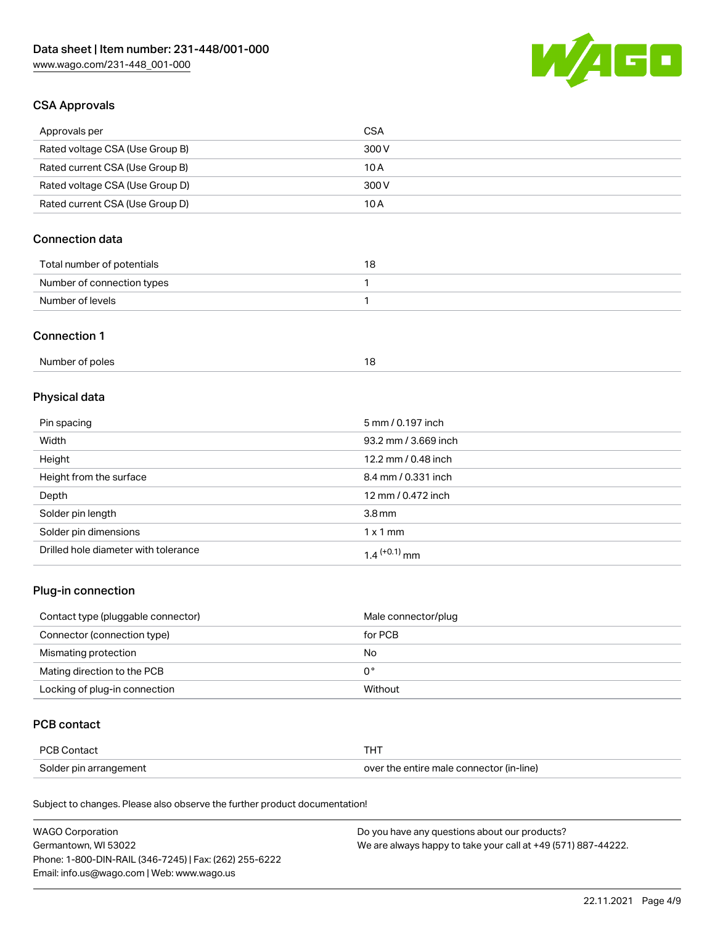

# CSA Approvals

| Approvals per                   | CSA   |
|---------------------------------|-------|
| Rated voltage CSA (Use Group B) | 300 V |
| Rated current CSA (Use Group B) | 10 A  |
| Rated voltage CSA (Use Group D) | 300 V |
| Rated current CSA (Use Group D) | 10 A  |

# Connection data

| Total number of potentials | 18 |
|----------------------------|----|
| Number of connection types |    |
| Number of levels           |    |

#### Connection 1

| Number of poles |  |
|-----------------|--|
|                 |  |

# Physical data

| Pin spacing                          | 5 mm / 0.197 inch    |
|--------------------------------------|----------------------|
| Width                                | 93.2 mm / 3.669 inch |
| Height                               | 12.2 mm / 0.48 inch  |
| Height from the surface              | 8.4 mm / 0.331 inch  |
| Depth                                | 12 mm / 0.472 inch   |
| Solder pin length                    | 3.8 <sub>mm</sub>    |
| Solder pin dimensions                | $1 \times 1$ mm      |
| Drilled hole diameter with tolerance | $1.4$ $(+0.1)$ mm    |

# Plug-in connection

| Contact type (pluggable connector) | Male connector/plug |
|------------------------------------|---------------------|
| Connector (connection type)        | for PCB             |
| Mismating protection               | No                  |
| Mating direction to the PCB        | 0°                  |
| Locking of plug-in connection      | Without             |

# PCB contact

| <b>PCB Contact</b>     |                                          |
|------------------------|------------------------------------------|
| Solder pin arrangement | over the entire male connector (in-line) |

| <b>WAGO Corporation</b>                                | Do you have any questions about our products?                 |
|--------------------------------------------------------|---------------------------------------------------------------|
| Germantown, WI 53022                                   | We are always happy to take your call at +49 (571) 887-44222. |
| Phone: 1-800-DIN-RAIL (346-7245)   Fax: (262) 255-6222 |                                                               |
| Email: info.us@wago.com   Web: www.wago.us             |                                                               |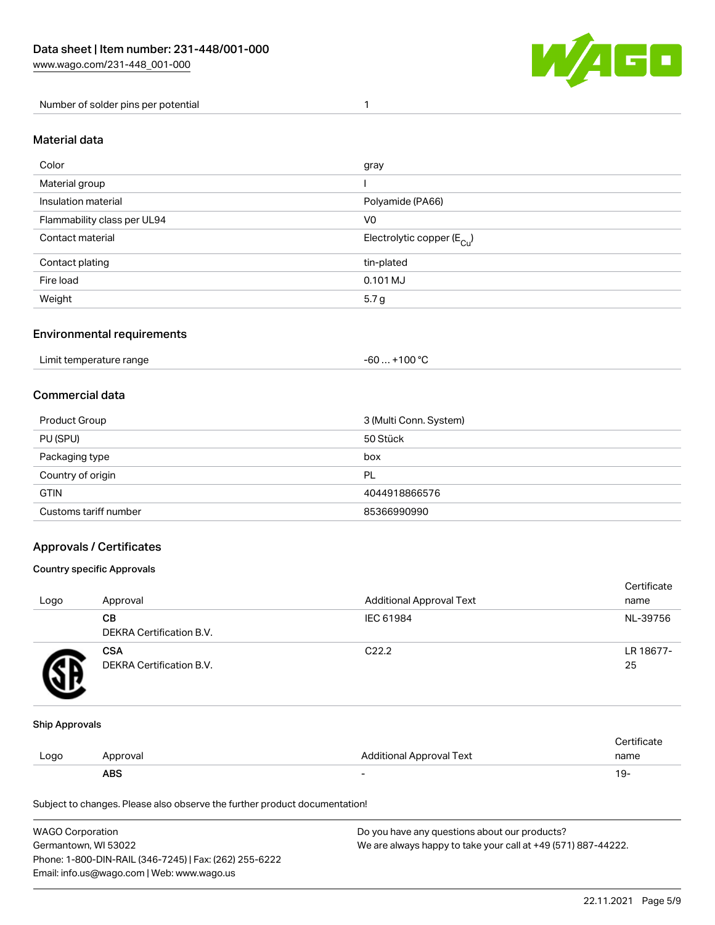

Number of solder pins per potential 1

#### Material data

| Color                       | gray                                   |
|-----------------------------|----------------------------------------|
| Material group              |                                        |
| Insulation material         | Polyamide (PA66)                       |
| Flammability class per UL94 | V <sub>0</sub>                         |
| Contact material            | Electrolytic copper (E <sub>Cu</sub> ) |
| Contact plating             | tin-plated                             |
| Fire load                   | $0.101$ MJ                             |
| Weight                      | 5.7 g                                  |

# Environmental requirements

Limit temperature range  $-60... +100$  °C

## Commercial data

| Product Group         | 3 (Multi Conn. System) |
|-----------------------|------------------------|
| PU (SPU)              | 50 Stück               |
| Packaging type        | box                    |
| Country of origin     | PL                     |
| <b>GTIN</b>           | 4044918866576          |
| Customs tariff number | 85366990990            |

# Approvals / Certificates

#### Country specific Approvals

| Logo | Approval                               | <b>Additional Approval Text</b> | Certificate<br>name |
|------|----------------------------------------|---------------------------------|---------------------|
|      | CВ<br><b>DEKRA Certification B.V.</b>  | IEC 61984                       | NL-39756            |
|      | <b>CSA</b><br>DEKRA Certification B.V. | C <sub>22.2</sub>               | LR 18677-<br>25     |

#### Ship Approvals

|      | <b>ABS</b> |                          | 19-  |
|------|------------|--------------------------|------|
| LOQO | Approval   | Additional Approval Text | name |
|      |            |                          |      |

| <b>WAGO Corporation</b>                                | Do you have any questions about our products?                 |
|--------------------------------------------------------|---------------------------------------------------------------|
| Germantown. WI 53022                                   | We are always happy to take your call at +49 (571) 887-44222. |
| Phone: 1-800-DIN-RAIL (346-7245)   Fax: (262) 255-6222 |                                                               |
| Email: info.us@wago.com   Web: www.wago.us             |                                                               |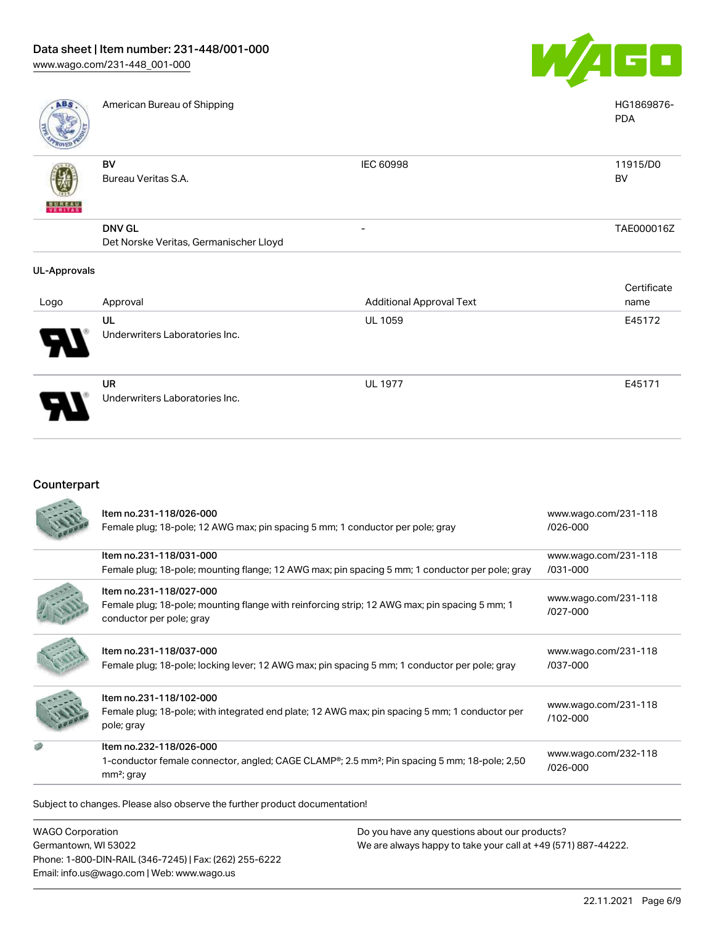

| ABS           | American Bureau of Shipping            |                          | HG1869876-<br><b>PDA</b> |
|---------------|----------------------------------------|--------------------------|--------------------------|
|               |                                        |                          |                          |
|               | BV                                     | <b>IEC 60998</b>         | 11915/D0                 |
|               | Bureau Veritas S.A.                    |                          | <b>BV</b>                |
| <b>BUREAU</b> |                                        |                          |                          |
|               | <b>DNV GL</b>                          | $\overline{\phantom{0}}$ | TAE000016Z               |
|               | Det Norske Veritas, Germanischer Lloyd |                          |                          |

| Logo | Approval                             | <b>Additional Approval Text</b> | Certificate<br>name |
|------|--------------------------------------|---------------------------------|---------------------|
| Ъ.   | UL<br>Underwriters Laboratories Inc. | <b>UL 1059</b>                  | E45172              |
|      | UR<br>Underwriters Laboratories Inc. | <b>UL 1977</b>                  | E45171              |

# Counterpart

| Item no.231-118/026-000<br>Female plug; 18-pole; 12 AWG max; pin spacing 5 mm; 1 conductor per pole; gray                                                        | www.wago.com/231-118<br>$1026 - 000$ |
|------------------------------------------------------------------------------------------------------------------------------------------------------------------|--------------------------------------|
| Item no.231-118/031-000<br>Female plug; 18-pole; mounting flange; 12 AWG max; pin spacing 5 mm; 1 conductor per pole; gray                                       | www.wago.com/231-118<br>/031-000     |
| Item no.231-118/027-000<br>Female plug; 18-pole; mounting flange with reinforcing strip; 12 AWG max; pin spacing 5 mm; 1<br>conductor per pole; gray             | www.wago.com/231-118<br>/027-000     |
| Item no.231-118/037-000<br>Female plug; 18-pole; locking lever; 12 AWG max; pin spacing 5 mm; 1 conductor per pole; gray                                         | www.wago.com/231-118<br>/037-000     |
| Item no.231-118/102-000<br>Female plug; 18-pole; with integrated end plate; 12 AWG max; pin spacing 5 mm; 1 conductor per<br>pole; gray                          | www.wago.com/231-118<br>/102-000     |
| Item no.232-118/026-000<br>1-conductor female connector, angled; CAGE CLAMP <sup>®</sup> ; 2.5 mm <sup>2</sup> ; Pin spacing 5 mm; 18-pole; 2,50<br>$mm2$ ; gray | www.wago.com/232-118<br>/026-000     |

Subject to changes. Please also observe the further product documentation!

WAGO Corporation Germantown, WI 53022 Phone: 1-800-DIN-RAIL (346-7245) | Fax: (262) 255-6222 Email: info.us@wago.com | Web: www.wago.us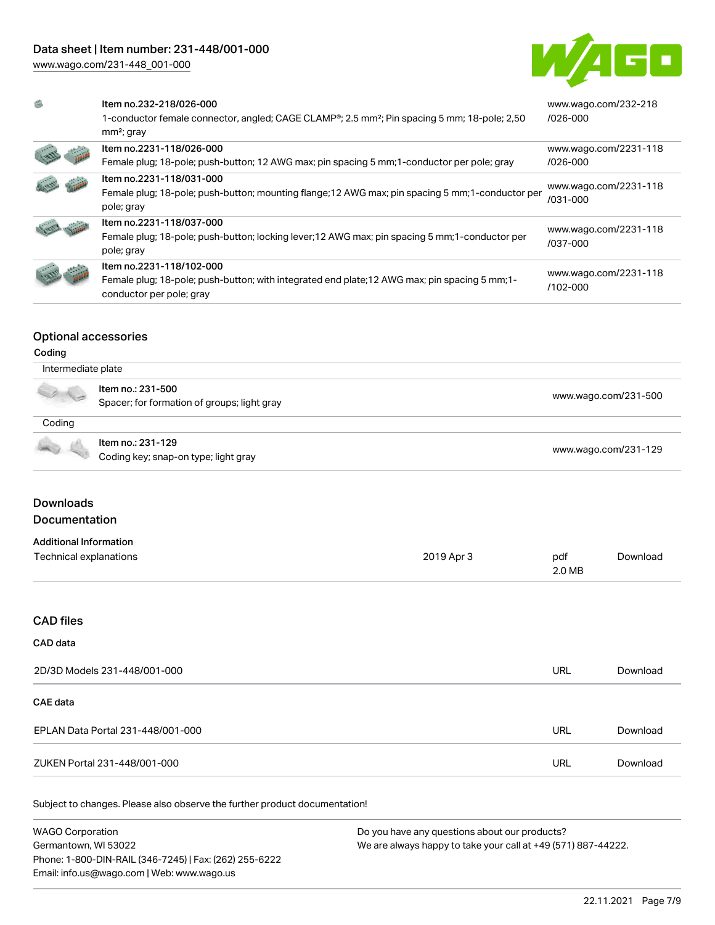[www.wago.com/231-448\\_001-000](http://www.wago.com/231-448_001-000)



| G) | Item no.232-218/026-000<br>1-conductor female connector, angled; CAGE CLAMP®; 2.5 mm <sup>2</sup> ; Pin spacing 5 mm; 18-pole; 2,50<br>$mm2$ ; gray | www.wago.com/232-218<br>$1026 - 000$ |
|----|-----------------------------------------------------------------------------------------------------------------------------------------------------|--------------------------------------|
|    | Item no.2231-118/026-000                                                                                                                            | www.wago.com/2231-118                |
|    | Female plug; 18-pole; push-button; 12 AWG max; pin spacing 5 mm; 1-conductor per pole; gray                                                         | $/026 - 000$                         |
|    | Item no.2231-118/031-000<br>Female plug; 18-pole; push-button; mounting flange; 12 AWG max; pin spacing 5 mm; 1-conductor per<br>pole; gray         | www.wago.com/2231-118<br>/031-000    |
|    | Item no.2231-118/037-000                                                                                                                            | www.wago.com/2231-118                |
|    | Female plug; 18-pole; push-button; locking lever; 12 AWG max; pin spacing 5 mm; 1-conductor per<br>pole; gray                                       | /037-000                             |
|    | Item no.2231-118/102-000                                                                                                                            | www.wago.com/2231-118                |
|    | Female plug; 18-pole; push-button; with integrated end plate; 12 AWG max; pin spacing 5 mm; 1-<br>conductor per pole; gray                          | /102-000                             |

## Optional accessories

#### Coding

|        | Intermediate plate                                               |                      |  |
|--------|------------------------------------------------------------------|----------------------|--|
| A VE   | Item no.: 231-500<br>Spacer; for formation of groups; light gray | www.wago.com/231-500 |  |
| Coding |                                                                  |                      |  |
|        | Item no.: 231-129<br>Coding key; snap-on type; light gray        | www.wago.com/231-129 |  |

# Downloads

# Documentation

| <b>Additional Information</b> |            |        |          |
|-------------------------------|------------|--------|----------|
| Technical explanations        | 2019 Apr 3 | pdf    | Download |
|                               |            | 2.0 MB |          |

#### CAD files

# CAD data

| 2D/3D Models 231-448/001-000      | URL | Download |
|-----------------------------------|-----|----------|
| CAE data                          |     |          |
| EPLAN Data Portal 231-448/001-000 | URL | Download |
| ZUKEN Portal 231-448/001-000      | URL | Download |

| <b>WAGO Corporation</b>                                | Do you have any questions about our products?                 |
|--------------------------------------------------------|---------------------------------------------------------------|
| Germantown, WI 53022                                   | We are always happy to take your call at +49 (571) 887-44222. |
| Phone: 1-800-DIN-RAIL (346-7245)   Fax: (262) 255-6222 |                                                               |
| Email: info.us@wago.com   Web: www.wago.us             |                                                               |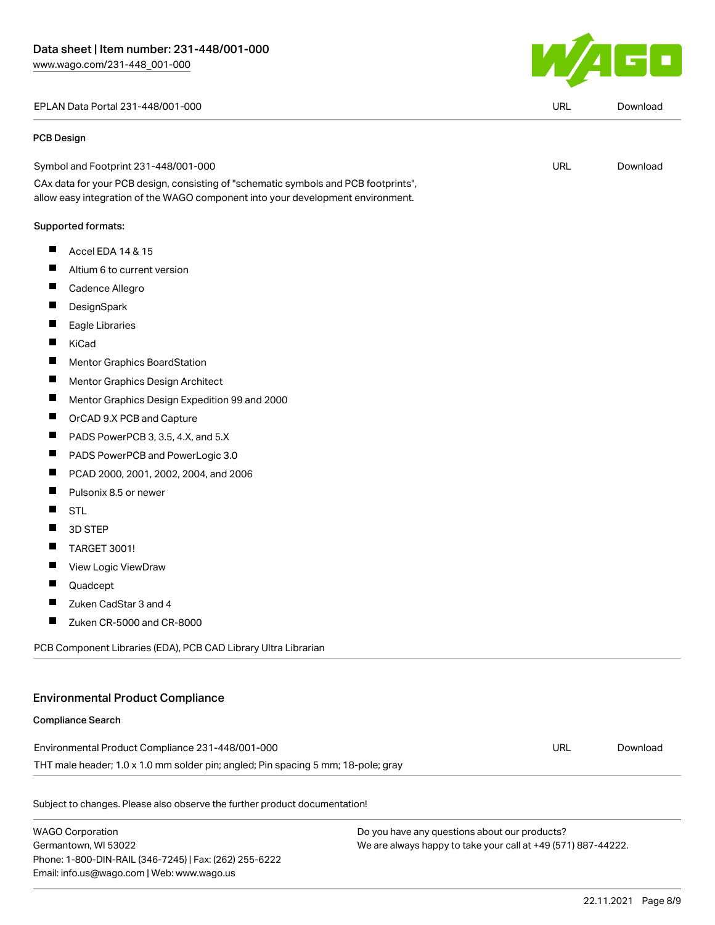EPLAN Data Portal 231-448/001-000 URL [Download](https://www.wago.com/global/d/EPLAN_URLS_231-448_001-000)

#### PCB Design

| Symbol and Footprint 231-448/001-000 | URL | Download |
|--------------------------------------|-----|----------|
|                                      |     |          |

CAx data for your PCB design, consisting of "schematic symbols and PCB footprints", allow easy integration of the WAGO component into your development environment.

#### Supported formats:

- $\blacksquare$ Accel EDA 14 & 15
- $\blacksquare$ Altium 6 to current version
- П Cadence Allegro
- П **DesignSpark**
- П Eagle Libraries
- П KiCad
- $\blacksquare$ Mentor Graphics BoardStation
- $\blacksquare$ Mentor Graphics Design Architect
- $\blacksquare$ Mentor Graphics Design Expedition 99 and 2000
- $\blacksquare$ OrCAD 9.X PCB and Capture
- $\blacksquare$ PADS PowerPCB 3, 3.5, 4.X, and 5.X
- $\blacksquare$ PADS PowerPCB and PowerLogic 3.0
- П PCAD 2000, 2001, 2002, 2004, and 2006
- $\blacksquare$ Pulsonix 8.5 or newer
- $\blacksquare$ STL
- $\blacksquare$ 3D STEP
- $\blacksquare$ TARGET 3001!
- $\blacksquare$ View Logic ViewDraw
- $\blacksquare$ Quadcept
- $\blacksquare$ Zuken CadStar 3 and 4
- $\blacksquare$ Zuken CR-5000 and CR-8000

PCB Component Libraries (EDA), PCB CAD Library Ultra Librarian

#### Environmental Product Compliance

#### Compliance Search

Environmental Product Compliance 231-448/001-000 THT male header; 1.0 x 1.0 mm solder pin; angled; Pin spacing 5 mm; 18-pole; gray URL [Download](https://www.wago.com/global/d/ComplianceLinkMediaContainer_231-448_001-000)

Subject to changes. Please also observe the further product documentation!

WAGO Corporation Germantown, WI 53022 Phone: 1-800-DIN-RAIL (346-7245) | Fax: (262) 255-6222 Email: info.us@wago.com | Web: www.wago.us